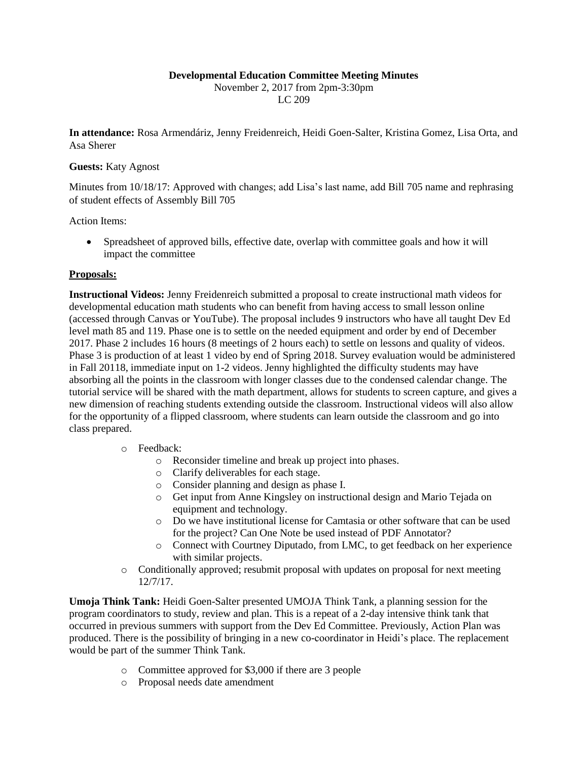## **Developmental Education Committee Meeting Minutes**

November 2, 2017 from 2pm-3:30pm LC 209

**In attendance:** Rosa Armendáriz, Jenny Freidenreich, Heidi Goen-Salter, Kristina Gomez, Lisa Orta, and Asa Sherer

## **Guests:** Katy Agnost

Minutes from 10/18/17: Approved with changes; add Lisa's last name, add Bill 705 name and rephrasing of student effects of Assembly Bill 705

Action Items:

 Spreadsheet of approved bills, effective date, overlap with committee goals and how it will impact the committee

## **Proposals:**

**Instructional Videos:** Jenny Freidenreich submitted a proposal to create instructional math videos for developmental education math students who can benefit from having access to small lesson online (accessed through Canvas or YouTube). The proposal includes 9 instructors who have all taught Dev Ed level math 85 and 119. Phase one is to settle on the needed equipment and order by end of December 2017. Phase 2 includes 16 hours (8 meetings of 2 hours each) to settle on lessons and quality of videos. Phase 3 is production of at least 1 video by end of Spring 2018. Survey evaluation would be administered in Fall 20118, immediate input on 1-2 videos. Jenny highlighted the difficulty students may have absorbing all the points in the classroom with longer classes due to the condensed calendar change. The tutorial service will be shared with the math department, allows for students to screen capture, and gives a new dimension of reaching students extending outside the classroom. Instructional videos will also allow for the opportunity of a flipped classroom, where students can learn outside the classroom and go into class prepared.

## o Feedback:

- o Reconsider timeline and break up project into phases.
- o Clarify deliverables for each stage.
- o Consider planning and design as phase I.
- o Get input from Anne Kingsley on instructional design and Mario Tejada on equipment and technology.
- o Do we have institutional license for Camtasia or other software that can be used for the project? Can One Note be used instead of PDF Annotator?
- o Connect with Courtney Diputado, from LMC, to get feedback on her experience with similar projects.
- o Conditionally approved; resubmit proposal with updates on proposal for next meeting 12/7/17.

**Umoja Think Tank:** Heidi Goen-Salter presented UMOJA Think Tank, a planning session for the program coordinators to study, review and plan. This is a repeat of a 2-day intensive think tank that occurred in previous summers with support from the Dev Ed Committee. Previously, Action Plan was produced. There is the possibility of bringing in a new co-coordinator in Heidi's place. The replacement would be part of the summer Think Tank.

- o Committee approved for \$3,000 if there are 3 people
- o Proposal needs date amendment